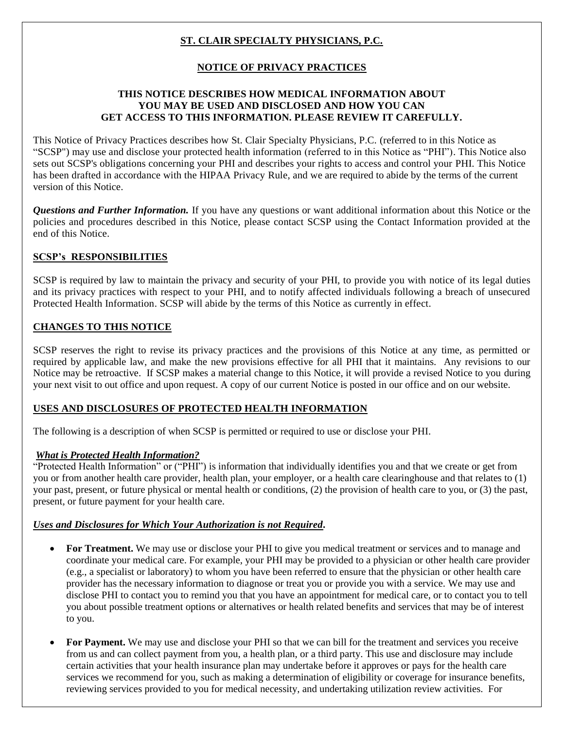# **ST. CLAIR SPECIALTY PHYSICIANS, P.C.**

# **NOTICE OF PRIVACY PRACTICES**

### **THIS NOTICE DESCRIBES HOW MEDICAL INFORMATION ABOUT YOU MAY BE USED AND DISCLOSED AND HOW YOU CAN GET ACCESS TO THIS INFORMATION. PLEASE REVIEW IT CAREFULLY.**

This Notice of Privacy Practices describes how St. Clair Specialty Physicians, P.C. (referred to in this Notice as "SCSP") may use and disclose your protected health information (referred to in this Notice as "PHI"). This Notice also sets out SCSP's obligations concerning your PHI and describes your rights to access and control your PHI. This Notice has been drafted in accordance with the HIPAA Privacy Rule, and we are required to abide by the terms of the current version of this Notice.

*Questions and Further Information.* If you have any questions or want additional information about this Notice or the policies and procedures described in this Notice, please contact SCSP using the Contact Information provided at the end of this Notice.

### **SCSP's RESPONSIBILITIES**

SCSP is required by law to maintain the privacy and security of your PHI, to provide you with notice of its legal duties and its privacy practices with respect to your PHI, and to notify affected individuals following a breach of unsecured Protected Health Information. SCSP will abide by the terms of this Notice as currently in effect.

### **CHANGES TO THIS NOTICE**

SCSP reserves the right to revise its privacy practices and the provisions of this Notice at any time, as permitted or required by applicable law, and make the new provisions effective for all PHI that it maintains. Any revisions to our Notice may be retroactive. If SCSP makes a material change to this Notice, it will provide a revised Notice to you during your next visit to out office and upon request. A copy of our current Notice is posted in our office and on our website.

#### **USES AND DISCLOSURES OF PROTECTED HEALTH INFORMATION**

The following is a description of when SCSP is permitted or required to use or disclose your PHI.

### *What is Protected Health Information?*

"Protected Health Information" or ("PHI") is information that individually identifies you and that we create or get from you or from another health care provider, health plan, your employer, or a health care clearinghouse and that relates to (1) your past, present, or future physical or mental health or conditions, (2) the provision of health care to you, or (3) the past, present, or future payment for your health care.

### *Uses and Disclosures for Which Your Authorization is not Required.*

- **For Treatment.** We may use or disclose your PHI to give you medical treatment or services and to manage and coordinate your medical care. For example, your PHI may be provided to a physician or other health care provider (e.g., a specialist or laboratory) to whom you have been referred to ensure that the physician or other health care provider has the necessary information to diagnose or treat you or provide you with a service. We may use and disclose PHI to contact you to remind you that you have an appointment for medical care, or to contact you to tell you about possible treatment options or alternatives or health related benefits and services that may be of interest to you.
- **For Payment.** We may use and disclose your PHI so that we can bill for the treatment and services you receive from us and can collect payment from you, a health plan, or a third party. This use and disclosure may include certain activities that your health insurance plan may undertake before it approves or pays for the health care services we recommend for you, such as making a determination of eligibility or coverage for insurance benefits, reviewing services provided to you for medical necessity, and undertaking utilization review activities. For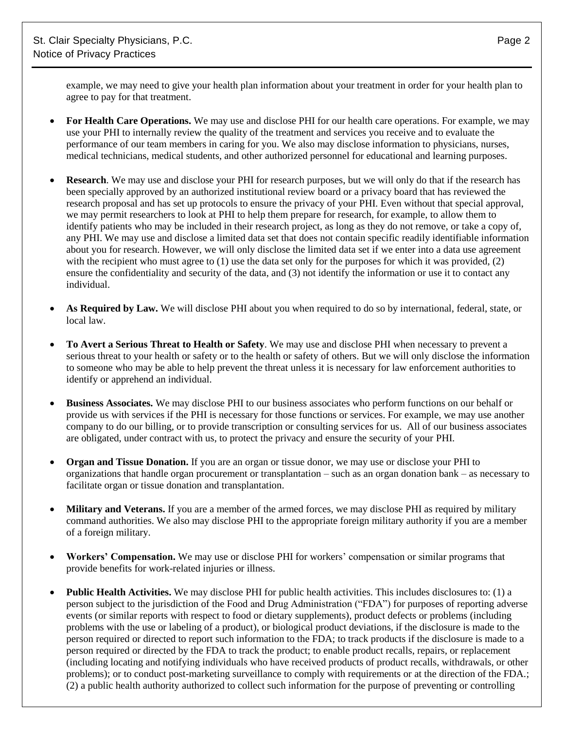example, we may need to give your health plan information about your treatment in order for your health plan to agree to pay for that treatment.

- **For Health Care Operations.** We may use and disclose PHI for our health care operations. For example, we may use your PHI to internally review the quality of the treatment and services you receive and to evaluate the performance of our team members in caring for you. We also may disclose information to physicians, nurses, medical technicians, medical students, and other authorized personnel for educational and learning purposes.
- **Research**. We may use and disclose your PHI for research purposes, but we will only do that if the research has been specially approved by an authorized institutional review board or a privacy board that has reviewed the research proposal and has set up protocols to ensure the privacy of your PHI. Even without that special approval, we may permit researchers to look at PHI to help them prepare for research, for example, to allow them to identify patients who may be included in their research project, as long as they do not remove, or take a copy of, any PHI. We may use and disclose a limited data set that does not contain specific readily identifiable information about you for research. However, we will only disclose the limited data set if we enter into a data use agreement with the recipient who must agree to (1) use the data set only for the purposes for which it was provided, (2) ensure the confidentiality and security of the data, and (3) not identify the information or use it to contact any individual.
- **As Required by Law.** We will disclose PHI about you when required to do so by international, federal, state, or local law.
- **To Avert a Serious Threat to Health or Safety**. We may use and disclose PHI when necessary to prevent a serious threat to your health or safety or to the health or safety of others. But we will only disclose the information to someone who may be able to help prevent the threat unless it is necessary for law enforcement authorities to identify or apprehend an individual.
- **Business Associates.** We may disclose PHI to our business associates who perform functions on our behalf or provide us with services if the PHI is necessary for those functions or services. For example, we may use another company to do our billing, or to provide transcription or consulting services for us. All of our business associates are obligated, under contract with us, to protect the privacy and ensure the security of your PHI.
- **Organ and Tissue Donation.** If you are an organ or tissue donor, we may use or disclose your PHI to organizations that handle organ procurement or transplantation – such as an organ donation bank – as necessary to facilitate organ or tissue donation and transplantation.
- **Military and Veterans.** If you are a member of the armed forces, we may disclose PHI as required by military command authorities. We also may disclose PHI to the appropriate foreign military authority if you are a member of a foreign military.
- **Workers' Compensation.** We may use or disclose PHI for workers' compensation or similar programs that provide benefits for work-related injuries or illness.
- **Public Health Activities.** We may disclose PHI for public health activities. This includes disclosures to: (1) a person subject to the jurisdiction of the Food and Drug Administration ("FDA") for purposes of reporting adverse events (or similar reports with respect to food or dietary supplements), product defects or problems (including problems with the use or labeling of a product), or biological product deviations, if the disclosure is made to the person required or directed to report such information to the FDA; to track products if the disclosure is made to a person required or directed by the FDA to track the product; to enable product recalls, repairs, or replacement (including locating and notifying individuals who have received products of product recalls, withdrawals, or other problems); or to conduct post-marketing surveillance to comply with requirements or at the direction of the FDA.; (2) a public health authority authorized to collect such information for the purpose of preventing or controlling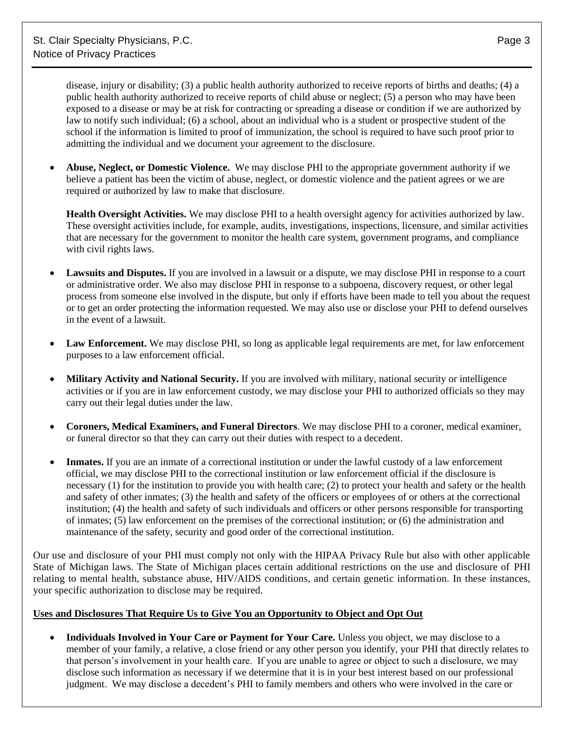disease, injury or disability; (3) a public health authority authorized to receive reports of births and deaths; (4) a public health authority authorized to receive reports of child abuse or neglect; (5) a person who may have been exposed to a disease or may be at risk for contracting or spreading a disease or condition if we are authorized by law to notify such individual; (6) a school, about an individual who is a student or prospective student of the school if the information is limited to proof of immunization, the school is required to have such proof prior to admitting the individual and we document your agreement to the disclosure.

 **Abuse, Neglect, or Domestic Violence.** We may disclose PHI to the appropriate government authority if we believe a patient has been the victim of abuse, neglect, or domestic violence and the patient agrees or we are required or authorized by law to make that disclosure.

**Health Oversight Activities.** We may disclose PHI to a health oversight agency for activities authorized by law. These oversight activities include, for example, audits, investigations, inspections, licensure, and similar activities that are necessary for the government to monitor the health care system, government programs, and compliance with civil rights laws.

- **Lawsuits and Disputes.** If you are involved in a lawsuit or a dispute, we may disclose PHI in response to a court or administrative order. We also may disclose PHI in response to a subpoena, discovery request, or other legal process from someone else involved in the dispute, but only if efforts have been made to tell you about the request or to get an order protecting the information requested. We may also use or disclose your PHI to defend ourselves in the event of a lawsuit.
- Law Enforcement. We may disclose PHI, so long as applicable legal requirements are met, for law enforcement purposes to a law enforcement official.
- **Military Activity and National Security.** If you are involved with military, national security or intelligence activities or if you are in law enforcement custody, we may disclose your PHI to authorized officials so they may carry out their legal duties under the law.
- **Coroners, Medical Examiners, and Funeral Directors**. We may disclose PHI to a coroner, medical examiner, or funeral director so that they can carry out their duties with respect to a decedent.
- **Inmates.** If you are an inmate of a correctional institution or under the lawful custody of a law enforcement official, we may disclose PHI to the correctional institution or law enforcement official if the disclosure is necessary (1) for the institution to provide you with health care; (2) to protect your health and safety or the health and safety of other inmates; (3) the health and safety of the officers or employees of or others at the correctional institution; (4) the health and safety of such individuals and officers or other persons responsible for transporting of inmates; (5) law enforcement on the premises of the correctional institution; or (6) the administration and maintenance of the safety, security and good order of the correctional institution.

Our use and disclosure of your PHI must comply not only with the HIPAA Privacy Rule but also with other applicable State of Michigan laws. The State of Michigan places certain additional restrictions on the use and disclosure of PHI relating to mental health, substance abuse, HIV/AIDS conditions, and certain genetic information. In these instances, your specific authorization to disclose may be required.

#### **Uses and Disclosures That Require Us to Give You an Opportunity to Object and Opt Out**

 **Individuals Involved in Your Care or Payment for Your Care.** Unless you object, we may disclose to a member of your family, a relative, a close friend or any other person you identify, your PHI that directly relates to that person's involvement in your health care. If you are unable to agree or object to such a disclosure, we may disclose such information as necessary if we determine that it is in your best interest based on our professional judgment. We may disclose a decedent's PHI to family members and others who were involved in the care or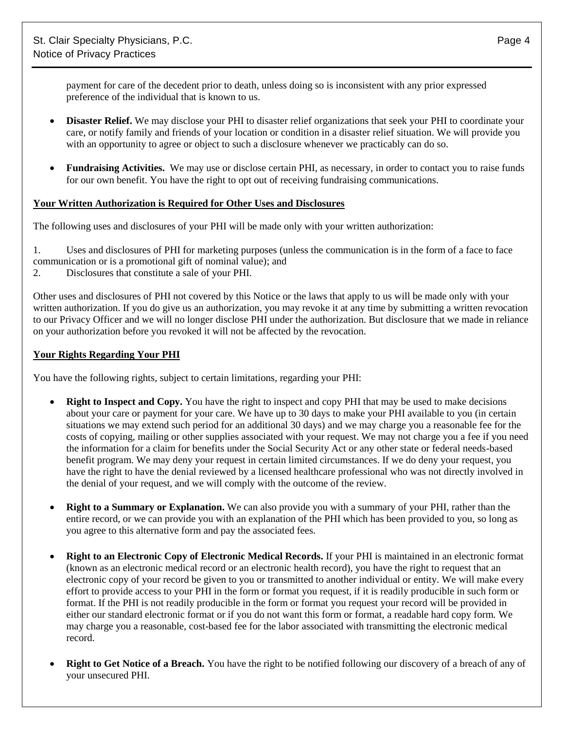payment for care of the decedent prior to death, unless doing so is inconsistent with any prior expressed preference of the individual that is known to us.

- **Disaster Relief.** We may disclose your PHI to disaster relief organizations that seek your PHI to coordinate your care, or notify family and friends of your location or condition in a disaster relief situation. We will provide you with an opportunity to agree or object to such a disclosure whenever we practicably can do so.
- **Fundraising Activities.** We may use or disclose certain PHI, as necessary, in order to contact you to raise funds for our own benefit. You have the right to opt out of receiving fundraising communications.

### **Your Written Authorization is Required for Other Uses and Disclosures**

The following uses and disclosures of your PHI will be made only with your written authorization:

1. Uses and disclosures of PHI for marketing purposes (unless the communication is in the form of a face to face communication or is a promotional gift of nominal value); and

2. Disclosures that constitute a sale of your PHI.

Other uses and disclosures of PHI not covered by this Notice or the laws that apply to us will be made only with your written authorization. If you do give us an authorization, you may revoke it at any time by submitting a written revocation to our Privacy Officer and we will no longer disclose PHI under the authorization. But disclosure that we made in reliance on your authorization before you revoked it will not be affected by the revocation.

### **Your Rights Regarding Your PHI**

You have the following rights, subject to certain limitations, regarding your PHI:

- **Right to Inspect and Copy.** You have the right to inspect and copy PHI that may be used to make decisions about your care or payment for your care. We have up to 30 days to make your PHI available to you (in certain situations we may extend such period for an additional 30 days) and we may charge you a reasonable fee for the costs of copying, mailing or other supplies associated with your request. We may not charge you a fee if you need the information for a claim for benefits under the Social Security Act or any other state or federal needs-based benefit program. We may deny your request in certain limited circumstances. If we do deny your request, you have the right to have the denial reviewed by a licensed healthcare professional who was not directly involved in the denial of your request, and we will comply with the outcome of the review.
- **Right to a Summary or Explanation.** We can also provide you with a summary of your PHI, rather than the entire record, or we can provide you with an explanation of the PHI which has been provided to you, so long as you agree to this alternative form and pay the associated fees.
- **Right to an Electronic Copy of Electronic Medical Records.** If your PHI is maintained in an electronic format (known as an electronic medical record or an electronic health record), you have the right to request that an electronic copy of your record be given to you or transmitted to another individual or entity. We will make every effort to provide access to your PHI in the form or format you request, if it is readily producible in such form or format. If the PHI is not readily producible in the form or format you request your record will be provided in either our standard electronic format or if you do not want this form or format, a readable hard copy form*.* We may charge you a reasonable, cost-based fee for the labor associated with transmitting the electronic medical record.
- **Right to Get Notice of a Breach.** You have the right to be notified following our discovery of a breach of any of your unsecured PHI.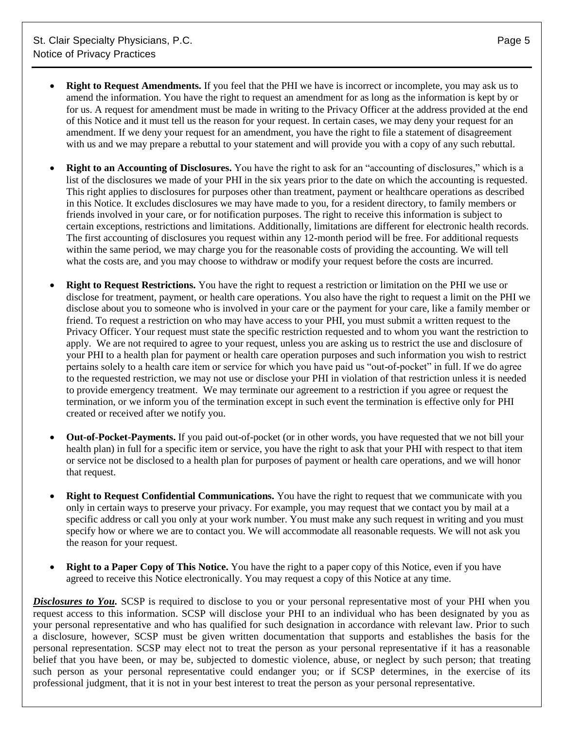- **Right to Request Amendments.** If you feel that the PHI we have is incorrect or incomplete, you may ask us to amend the information. You have the right to request an amendment for as long as the information is kept by or for us. A request for amendment must be made in writing to the Privacy Officer at the address provided at the end of this Notice and it must tell us the reason for your request. In certain cases, we may deny your request for an amendment. If we deny your request for an amendment, you have the right to file a statement of disagreement with us and we may prepare a rebuttal to your statement and will provide you with a copy of any such rebuttal.
- **Right to an Accounting of Disclosures.** You have the right to ask for an "accounting of disclosures," which is a list of the disclosures we made of your PHI in the six years prior to the date on which the accounting is requested. This right applies to disclosures for purposes other than treatment, payment or healthcare operations as described in this Notice. It excludes disclosures we may have made to you, for a resident directory, to family members or friends involved in your care, or for notification purposes. The right to receive this information is subject to certain exceptions, restrictions and limitations. Additionally, limitations are different for electronic health records. The first accounting of disclosures you request within any 12-month period will be free. For additional requests within the same period, we may charge you for the reasonable costs of providing the accounting. We will tell what the costs are, and you may choose to withdraw or modify your request before the costs are incurred.
- **Right to Request Restrictions.** You have the right to request a restriction or limitation on the PHI we use or disclose for treatment, payment, or health care operations. You also have the right to request a limit on the PHI we disclose about you to someone who is involved in your care or the payment for your care, like a family member or friend. To request a restriction on who may have access to your PHI, you must submit a written request to the Privacy Officer. Your request must state the specific restriction requested and to whom you want the restriction to apply. We are not required to agree to your request, unless you are asking us to restrict the use and disclosure of your PHI to a health plan for payment or health care operation purposes and such information you wish to restrict pertains solely to a health care item or service for which you have paid us "out-of-pocket" in full. If we do agree to the requested restriction, we may not use or disclose your PHI in violation of that restriction unless it is needed to provide emergency treatment. We may terminate our agreement to a restriction if you agree or request the termination, or we inform you of the termination except in such event the termination is effective only for PHI created or received after we notify you.
- **Out-of-Pocket-Payments.** If you paid out-of-pocket (or in other words, you have requested that we not bill your health plan) in full for a specific item or service, you have the right to ask that your PHI with respect to that item or service not be disclosed to a health plan for purposes of payment or health care operations, and we will honor that request.
- **Right to Request Confidential Communications.** You have the right to request that we communicate with you only in certain ways to preserve your privacy. For example, you may request that we contact you by mail at a specific address or call you only at your work number. You must make any such request in writing and you must specify how or where we are to contact you. We will accommodate all reasonable requests. We will not ask you the reason for your request.
- **Right to a Paper Copy of This Notice.** You have the right to a paper copy of this Notice, even if you have agreed to receive this Notice electronically. You may request a copy of this Notice at any time.

*Disclosures to You.* SCSP is required to disclose to you or your personal representative most of your PHI when you request access to this information. SCSP will disclose your PHI to an individual who has been designated by you as your personal representative and who has qualified for such designation in accordance with relevant law. Prior to such a disclosure, however, SCSP must be given written documentation that supports and establishes the basis for the personal representation. SCSP may elect not to treat the person as your personal representative if it has a reasonable belief that you have been, or may be, subjected to domestic violence, abuse, or neglect by such person; that treating such person as your personal representative could endanger you; or if SCSP determines, in the exercise of its professional judgment, that it is not in your best interest to treat the person as your personal representative.